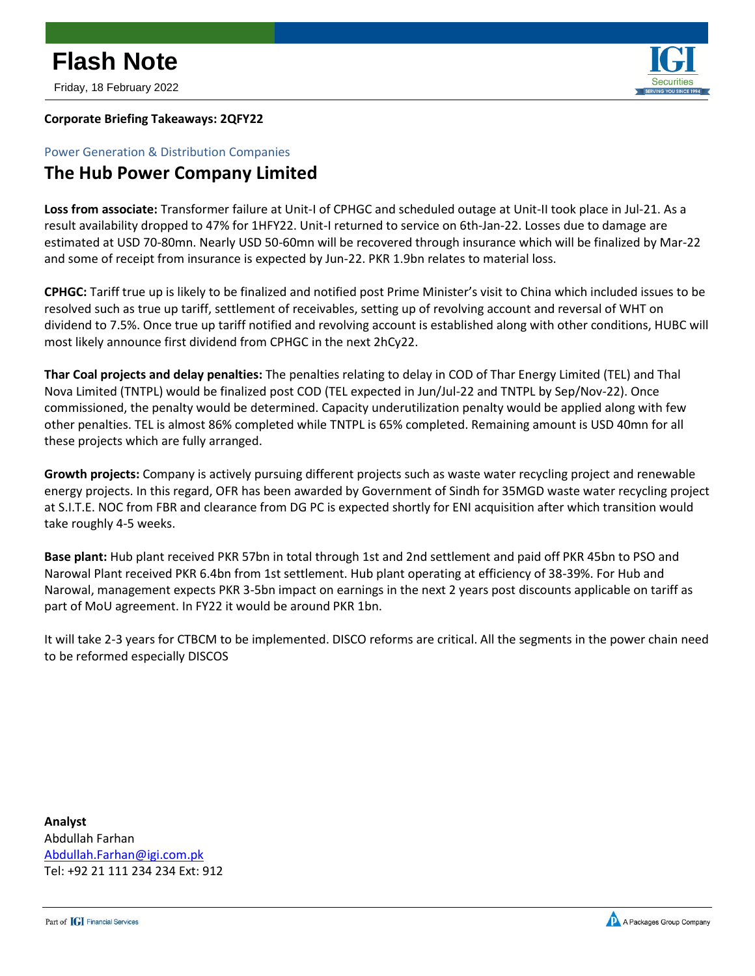Friday, 18 February 2022



### **Corporate Briefing Takeaways: 2QFY22**

Power Generation & Distribution Companies

## **The Hub Power Company Limited**

**Loss from associate:** Transformer failure at Unit-I of CPHGC and scheduled outage at Unit-II took place in Jul-21. As a result availability dropped to 47% for 1HFY22. Unit-I returned to service on 6th-Jan-22. Losses due to damage are estimated at USD 70-80mn. Nearly USD 50-60mn will be recovered through insurance which will be finalized by Mar-22 and some of receipt from insurance is expected by Jun-22. PKR 1.9bn relates to material loss.

**CPHGC:** Tariff true up is likely to be finalized and notified post Prime Minister's visit to China which included issues to be resolved such as true up tariff, settlement of receivables, setting up of revolving account and reversal of WHT on dividend to 7.5%. Once true up tariff notified and revolving account is established along with other conditions, HUBC will most likely announce first dividend from CPHGC in the next 2hCy22.

**Thar Coal projects and delay penalties:** The penalties relating to delay in COD of Thar Energy Limited (TEL) and Thal Nova Limited (TNTPL) would be finalized post COD (TEL expected in Jun/Jul-22 and TNTPL by Sep/Nov-22). Once commissioned, the penalty would be determined. Capacity underutilization penalty would be applied along with few other penalties. TEL is almost 86% completed while TNTPL is 65% completed. Remaining amount is USD 40mn for all these projects which are fully arranged.

**Growth projects:** Company is actively pursuing different projects such as waste water recycling project and renewable energy projects. In this regard, OFR has been awarded by Government of Sindh for 35MGD waste water recycling project at S.I.T.E. NOC from FBR and clearance from DG PC is expected shortly for ENI acquisition after which transition would take roughly 4-5 weeks.

**Base plant:** Hub plant received PKR 57bn in total through 1st and 2nd settlement and paid off PKR 45bn to PSO and Narowal Plant received PKR 6.4bn from 1st settlement. Hub plant operating at efficiency of 38-39%. For Hub and Narowal, management expects PKR 3-5bn impact on earnings in the next 2 years post discounts applicable on tariff as part of MoU agreement. In FY22 it would be around PKR 1bn.

It will take 2-3 years for CTBCM to be implemented. DISCO reforms are critical. All the segments in the power chain need to be reformed especially DISCOS

**Analyst** Abdullah Farhan [Abdullah.Farhan@igi.com.pk](mailto:Abdullah.Farhan@igi.com.pk) Tel: +92 21 111 234 234 Ext: 912

Part of **[G]** Financial Services

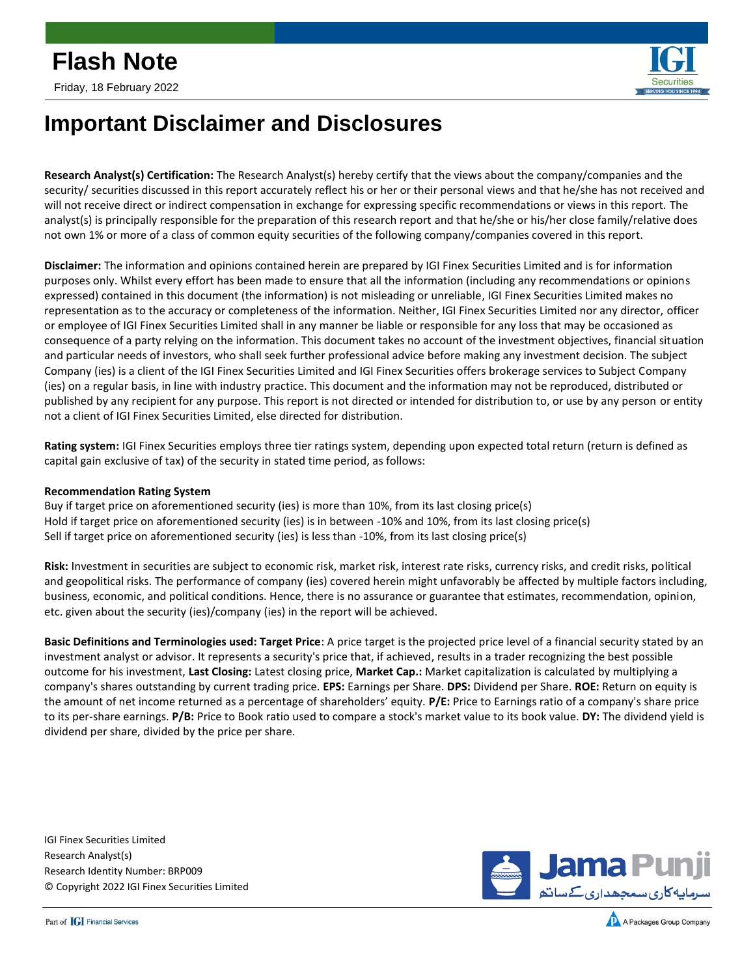

## **Important Disclaimer and Disclosures**

**Research Analyst(s) Certification:** The Research Analyst(s) hereby certify that the views about the company/companies and the security/ securities discussed in this report accurately reflect his or her or their personal views and that he/she has not received and will not receive direct or indirect compensation in exchange for expressing specific recommendations or views in this report. The analyst(s) is principally responsible for the preparation of this research report and that he/she or his/her close family/relative does not own 1% or more of a class of common equity securities of the following company/companies covered in this report.

**Disclaimer:** The information and opinions contained herein are prepared by IGI Finex Securities Limited and is for information purposes only. Whilst every effort has been made to ensure that all the information (including any recommendations or opinions expressed) contained in this document (the information) is not misleading or unreliable, IGI Finex Securities Limited makes no representation as to the accuracy or completeness of the information. Neither, IGI Finex Securities Limited nor any director, officer or employee of IGI Finex Securities Limited shall in any manner be liable or responsible for any loss that may be occasioned as consequence of a party relying on the information. This document takes no account of the investment objectives, financial situation and particular needs of investors, who shall seek further professional advice before making any investment decision. The subject Company (ies) is a client of the IGI Finex Securities Limited and IGI Finex Securities offers brokerage services to Subject Company (ies) on a regular basis, in line with industry practice. This document and the information may not be reproduced, distributed or published by any recipient for any purpose. This report is not directed or intended for distribution to, or use by any person or entity not a client of IGI Finex Securities Limited, else directed for distribution.

**Rating system:** IGI Finex Securities employs three tier ratings system, depending upon expected total return (return is defined as capital gain exclusive of tax) of the security in stated time period, as follows:

### **Recommendation Rating System**

Buy if target price on aforementioned security (ies) is more than 10%, from its last closing price(s) Hold if target price on aforementioned security (ies) is in between -10% and 10%, from its last closing price(s) Sell if target price on aforementioned security (ies) is less than -10%, from its last closing price(s)

**Risk:** Investment in securities are subject to economic risk, market risk, interest rate risks, currency risks, and credit risks, political and geopolitical risks. The performance of company (ies) covered herein might unfavorably be affected by multiple factors including, business, economic, and political conditions. Hence, there is no assurance or guarantee that estimates, recommendation, opinion, etc. given about the security (ies)/company (ies) in the report will be achieved.

**Basic Definitions and Terminologies used: Target Price**: A price target is the projected price level of a financial security stated by an investment analyst or advisor. It represents a security's price that, if achieved, results in a trader recognizing the best possible outcome for his investment, **Last Closing:** Latest closing price, **Market Cap.:** Market capitalization is calculated by multiplying a company's shares outstanding by current trading price. **EPS:** Earnings per Share. **DPS:** Dividend per Share. **ROE:** Return on equity is the amount of net income returned as a percentage of shareholders' equity. **P/E:** Price to Earnings ratio of a company's share price to its per-share earnings. **P/B:** Price to Book ratio used to compare a stock's market value to its book value. **DY:** The dividend yield is dividend per share, divided by the price per share.

IGI Finex Securities Limited Research Analyst(s) Research Identity Number: BRP009 © Copyright 2022 IGI Finex Securities Limited